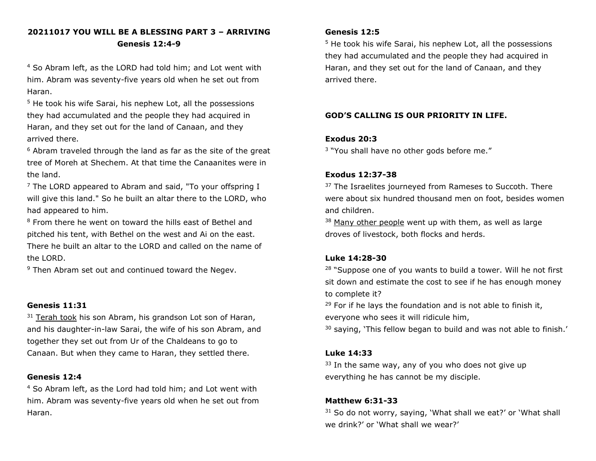# **20211017 YOU WILL BE A BLESSING PART 3 – ARRIVING Genesis 12:4-9**

<sup>4</sup> So Abram left, as the LORD had told him; and Lot went with him. Abram was seventy-five years old when he set out from Haran.

<sup>5</sup> He took his wife Sarai, his nephew Lot, all the possessions they had accumulated and the people they had acquired in Haran, and they set out for the land of Canaan, and they arrived there.

 $6$  Abram traveled through the land as far as the site of the great tree of Moreh at Shechem. At that time the Canaanites were in the land.

 $<sup>7</sup>$  The LORD appeared to Abram and said, "To your offspring I</sup> will give this land." So he built an altar there to the LORD, who had appeared to him.

<sup>8</sup> From there he went on toward the hills east of Bethel and pitched his tent, with Bethel on the west and Ai on the east. There he built an altar to the LORD and called on the name of the LORD.

<sup>9</sup> Then Abram set out and continued toward the Negev.

#### **Genesis 11:31**

 $31$  Terah took his son Abram, his grandson Lot son of Haran, and his daughter-in-law Sarai, the wife of his son Abram, and together they set out from Ur of the Chaldeans to go to Canaan. But when they came to Haran, they settled there.

#### **Genesis 12:4**

<sup>4</sup> So Abram left, as the Lord had told him; and Lot went with him. Abram was seventy-five years old when he set out from Haran.

#### **Genesis 12:5**

<sup>5</sup> He took his wife Sarai, his nephew Lot, all the possessions they had accumulated and the people they had acquired in Haran, and they set out for the land of Canaan, and they arrived there.

## **GOD'S CALLING IS OUR PRIORITY IN LIFE.**

### **Exodus 20:3**

<sup>3</sup> "You shall have no other gods before me."

### **Exodus 12:37-38**

<sup>37</sup> The Israelites journeyed from Rameses to Succoth. There were about six hundred thousand men on foot, besides women and children.

 $38$  Many other people went up with them, as well as large droves of livestock, both flocks and herds.

#### **Luke 14:28-30**

<sup>28</sup> "Suppose one of you wants to build a tower. Will he not first sit down and estimate the cost to see if he has enough money to complete it?

 $29$  For if he lays the foundation and is not able to finish it, everyone who sees it will ridicule him,

 $30$  saying, 'This fellow began to build and was not able to finish.'

#### **Luke 14:33**

 $33$  In the same way, any of you who does not give up everything he has cannot be my disciple.

## **Matthew 6:31-33**

 $31$  So do not worry, saying, 'What shall we eat?' or 'What shall we drink?' or 'What shall we wear?'